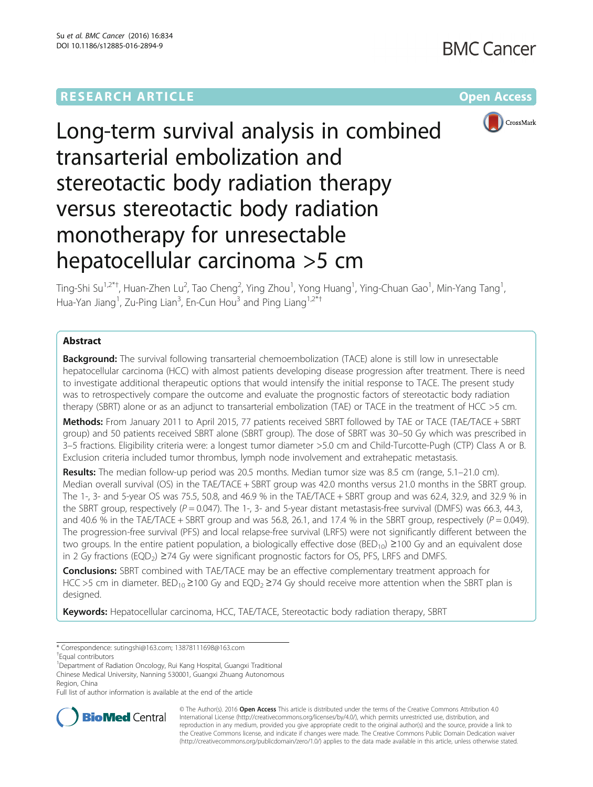

# Long-term survival analysis in combined transarterial embolization and stereotactic body radiation therapy versus stereotactic body radiation monotherapy for unresectable hepatocellular carcinoma >5 cm

Ting-Shi Su<sup>1,2\*†</sup>, Huan-Zhen Lu<sup>2</sup>, Tao Cheng<sup>2</sup>, Ying Zhou<sup>1</sup>, Yong Huang<sup>1</sup>, Ying-Chuan Gao<sup>1</sup>, Min-Yang Tang<sup>1</sup> , Hua-Yan Jiang<sup>1</sup>, Zu-Ping Lian<sup>3</sup>, En-Cun Hou<sup>3</sup> and Ping Liang<sup>1,2\*†</sup>

# Abstract

**Background:** The survival following transarterial chemoembolization (TACE) alone is still low in unresectable hepatocellular carcinoma (HCC) with almost patients developing disease progression after treatment. There is need to investigate additional therapeutic options that would intensify the initial response to TACE. The present study was to retrospectively compare the outcome and evaluate the prognostic factors of stereotactic body radiation therapy (SBRT) alone or as an adjunct to transarterial embolization (TAE) or TACE in the treatment of HCC >5 cm.

Methods: From January 2011 to April 2015, 77 patients received SBRT followed by TAE or TACE (TAE/TACE + SBRT group) and 50 patients received SBRT alone (SBRT group). The dose of SBRT was 30–50 Gy which was prescribed in 3–5 fractions. Eligibility criteria were: a longest tumor diameter >5.0 cm and Child-Turcotte-Pugh (CTP) Class A or B. Exclusion criteria included tumor thrombus, lymph node involvement and extrahepatic metastasis.

Results: The median follow-up period was 20.5 months. Median tumor size was 8.5 cm (range, 5.1–21.0 cm). Median overall survival (OS) in the TAE/TACE + SBRT group was 42.0 months versus 21.0 months in the SBRT group. The 1-, 3- and 5-year OS was 75.5, 50.8, and 46.9 % in the TAE/TACE + SBRT group and was 62.4, 32.9, and 32.9 % in the SBRT group, respectively ( $P = 0.047$ ). The 1-, 3- and 5-year distant metastasis-free survival (DMFS) was 66.3, 44.3, and 40.6 % in the TAE/TACE + SBRT group and was 56.8, 26.1, and 17.4 % in the SBRT group, respectively ( $P = 0.049$ ). The progression-free survival (PFS) and local relapse-free survival (LRFS) were not significantly different between the two groups. In the entire patient population, a biologically effective dose ( $BED_{10}$ ) ≥100 Gy and an equivalent dose in 2 Gy fractions (EQD<sub>2</sub>) ≥74 Gy were significant prognostic factors for OS, PFS, LRFS and DMFS.

**Conclusions:** SBRT combined with TAE/TACE may be an effective complementary treatment approach for HCC >5 cm in diameter. BED<sub>10</sub> ≥100 Gy and EQD<sub>2</sub> ≥74 Gy should receive more attention when the SBRT plan is designed.

Keywords: Hepatocellular carcinoma, HCC, TAE/TACE, Stereotactic body radiation therapy, SBRT

Full list of author information is available at the end of the article



© The Author(s). 2016 Open Access This article is distributed under the terms of the Creative Commons Attribution 4.0 International License [\(http://creativecommons.org/licenses/by/4.0/](http://creativecommons.org/licenses/by/4.0/)), which permits unrestricted use, distribution, and reproduction in any medium, provided you give appropriate credit to the original author(s) and the source, provide a link to the Creative Commons license, and indicate if changes were made. The Creative Commons Public Domain Dedication waiver [\(http://creativecommons.org/publicdomain/zero/1.0/](http://creativecommons.org/publicdomain/zero/1.0/)) applies to the data made available in this article, unless otherwise stated.

<sup>\*</sup> Correspondence: [sutingshi@163.com](mailto:sutingshi@163.com); [13878111698@163.com](mailto:13878111698@163.com) †

<sup>&</sup>lt;sup>T</sup>Equal contributors

<sup>&</sup>lt;sup>1</sup> Department of Radiation Oncology, Rui Kang Hospital, Guangxi Traditional Chinese Medical University, Nanning 530001, Guangxi Zhuang Autonomous Region, China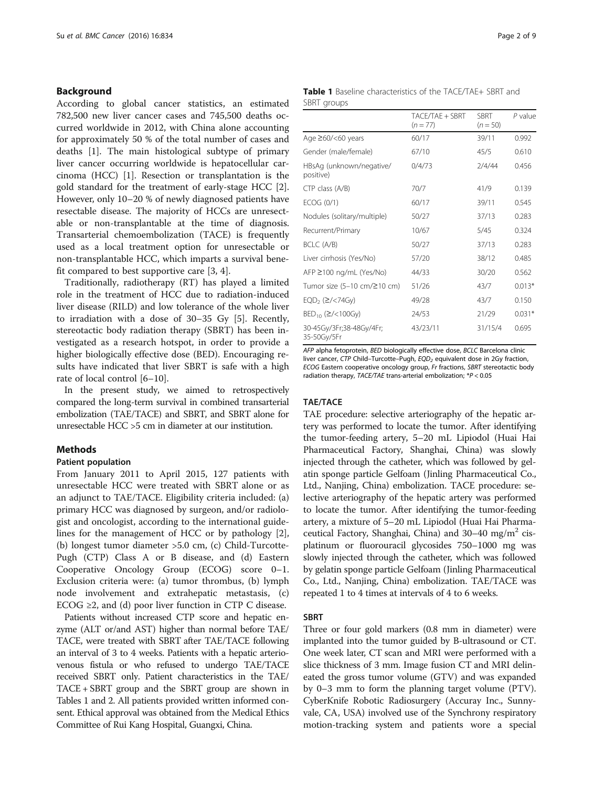## <span id="page-1-0"></span>Background

According to global cancer statistics, an estimated 782,500 new liver cancer cases and 745,500 deaths occurred worldwide in 2012, with China alone accounting for approximately 50 % of the total number of cases and deaths [[1\]](#page-8-0). The main histological subtype of primary liver cancer occurring worldwide is hepatocellular carcinoma (HCC) [[1\]](#page-8-0). Resection or transplantation is the gold standard for the treatment of early-stage HCC [\[2](#page-8-0)]. However, only 10–20 % of newly diagnosed patients have resectable disease. The majority of HCCs are unresectable or non-transplantable at the time of diagnosis. Transarterial chemoembolization (TACE) is frequently used as a local treatment option for unresectable or non-transplantable HCC, which imparts a survival benefit compared to best supportive care [\[3](#page-8-0), [4](#page-8-0)].

Traditionally, radiotherapy (RT) has played a limited role in the treatment of HCC due to radiation-induced liver disease (RILD) and low tolerance of the whole liver to irradiation with a dose of 30–35 Gy [\[5](#page-8-0)]. Recently, stereotactic body radiation therapy (SBRT) has been investigated as a research hotspot, in order to provide a higher biologically effective dose (BED). Encouraging results have indicated that liver SBRT is safe with a high rate of local control [[6](#page-8-0)–[10](#page-8-0)].

In the present study, we aimed to retrospectively compared the long-term survival in combined transarterial embolization (TAE/TACE) and SBRT, and SBRT alone for unresectable HCC >5 cm in diameter at our institution.

## Methods

#### Patient population

From January 2011 to April 2015, 127 patients with unresectable HCC were treated with SBRT alone or as an adjunct to TAE/TACE. Eligibility criteria included: (a) primary HCC was diagnosed by surgeon, and/or radiologist and oncologist, according to the international guidelines for the management of HCC or by pathology [\[2](#page-8-0)], (b) longest tumor diameter >5.0 cm, (c) Child-Turcotte-Pugh (CTP) Class A or B disease, and (d) Eastern Cooperative Oncology Group (ECOG) score 0–1. Exclusion criteria were: (a) tumor thrombus, (b) lymph node involvement and extrahepatic metastasis, (c) ECOG  $\geq$ 2, and (d) poor liver function in CTP C disease.

Patients without increased CTP score and hepatic enzyme (ALT or/and AST) higher than normal before TAE/ TACE, were treated with SBRT after TAE/TACE following an interval of 3 to 4 weeks. Patients with a hepatic arteriovenous fistula or who refused to undergo TAE/TACE received SBRT only. Patient characteristics in the TAE/ TACE + SBRT group and the SBRT group are shown in Tables 1 and [2.](#page-2-0) All patients provided written informed consent. Ethical approval was obtained from the Medical Ethics Committee of Rui Kang Hospital, Guangxi, China.

| <b>Table 1</b> Baseline characteristics of the TACE/TAE+ SBRT and |  |  |  |
|-------------------------------------------------------------------|--|--|--|
| SBRT groups                                                       |  |  |  |

|                                         | TACE/TAE + SBRT<br>$(n = 77)$ | <b>SBRT</b><br>$(n = 50)$ | $P$ value |
|-----------------------------------------|-------------------------------|---------------------------|-----------|
| Age $\geq 60$ /<60 years                | 60/17                         | 39/11                     | 0.992     |
| Gender (male/female)                    | 67/10                         | 45/5                      | 0.610     |
| HBsAg (unknown/negative/<br>positive)   | 0/4/73                        | 2/4/44                    | 0.456     |
| CTP class (A/B)                         | 70/7                          | 41/9                      | 0.139     |
| ECOG (0/1)                              | 60/17                         | 39/11                     | 0.545     |
| Nodules (solitary/multiple)             | 50/27                         | 37/13                     | 0.283     |
| Recurrent/Primary                       | 10/67                         | 5/45                      | 0.324     |
| BCLC (A/B)                              | 50/27                         | 37/13                     | 0.283     |
| Liver cirrhosis (Yes/No)                | 57/20                         | 38/12                     | 0.485     |
| AFP ≥100 ng/mL (Yes/No)                 | 44/33                         | 30/20                     | 0.562     |
| Tumor size (5-10 cm/≥10 cm)             | 51/26                         | 43/7                      | $0.013*$  |
| $EQD_2$ ( $\geq$ /<74Gy)                | 49/28                         | 43/7                      | 0.150     |
| $BED_{10}$ ( $\ge$ /<100Gy)             | 24/53                         | 21/29                     | $0.031*$  |
| 30-45Gy/3Fr;38-48Gy/4Fr;<br>35-50Gy/5Fr | 43/23/11                      | 31/15/4                   | 0.695     |

AFP alpha fetoprotein, BED biologically effective dose, BCLC Barcelona clinic liver cancer, CTP Child-Turcotte-Pugh, EQD<sub>2</sub> equivalent dose in 2Gy fraction, ECOG Eastern cooperative oncology group, Fr fractions, SBRT stereotactic body radiation therapy, TACE/TAE trans-arterial embolization; \*P < 0.05

#### TAE/TACE

TAE procedure: selective arteriography of the hepatic artery was performed to locate the tumor. After identifying the tumor-feeding artery, 5–20 mL Lipiodol (Huai Hai Pharmaceutical Factory, Shanghai, China) was slowly injected through the catheter, which was followed by gelatin sponge particle Gelfoam (Jinling Pharmaceutical Co., Ltd., Nanjing, China) embolization. TACE procedure: selective arteriography of the hepatic artery was performed to locate the tumor. After identifying the tumor-feeding artery, a mixture of 5–20 mL Lipiodol (Huai Hai Pharmaceutical Factory, Shanghai, China) and  $30-40$  mg/m<sup>2</sup> cisplatinum or fluorouracil glycosides 750–1000 mg was slowly injected through the catheter, which was followed by gelatin sponge particle Gelfoam (Jinling Pharmaceutical Co., Ltd., Nanjing, China) embolization. TAE/TACE was repeated 1 to 4 times at intervals of 4 to 6 weeks.

## SBRT

Three or four gold markers (0.8 mm in diameter) were implanted into the tumor guided by B-ultrasound or CT. One week later, CT scan and MRI were performed with a slice thickness of 3 mm. Image fusion CT and MRI delineated the gross tumor volume (GTV) and was expanded by 0–3 mm to form the planning target volume (PTV). CyberKnife Robotic Radiosurgery (Accuray Inc., Sunnyvale, CA, USA) involved use of the Synchrony respiratory motion-tracking system and patients wore a special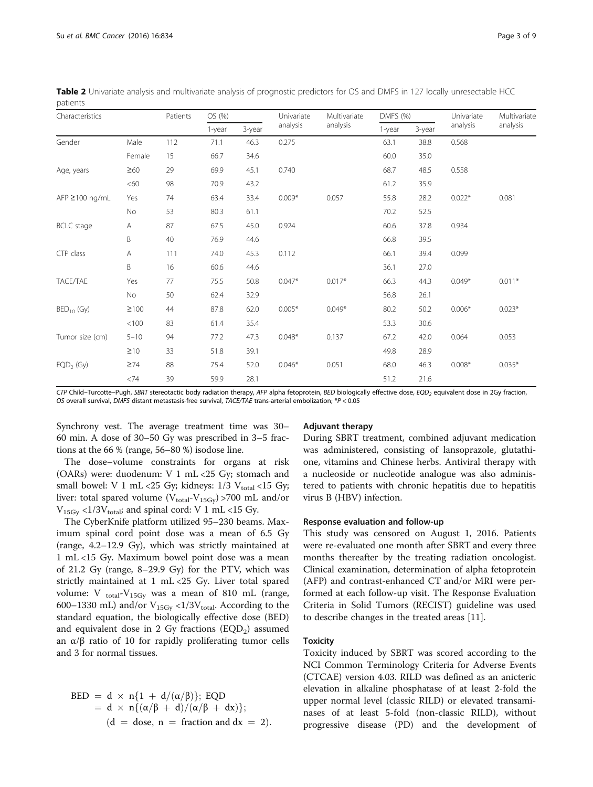CTP Child-Turcotte-Pugh, SBRT stereotactic body radiation therapy, AFP alpha fetoprotein, BED biologically effective dose, EQD<sub>2</sub> equivalent dose in 2Gy fraction, OS overall survival, DMFS distant metastasis-free survival, TACE/TAE trans-arterial embolization; \*P < 0.05

Synchrony vest. The average treatment time was 30– 60 min. A dose of 30–50 Gy was prescribed in 3–5 fractions at the 66 % (range, 56–80 %) isodose line.

The dose–volume constraints for organs at risk (OARs) were: duodenum: V 1 mL <25 Gy; stomach and small bowel: V 1 mL <25 Gy; kidneys:  $1/3$  V<sub>total</sub> <15 Gy; liver: total spared volume ( $V_{total}$ - $V_{15Gy}$ ) >700 mL and/or  $V_{15Gy}$  <1/3 $V_{total}$ ; and spinal cord: V 1 mL <15 Gy.

The CyberKnife platform utilized 95–230 beams. Maximum spinal cord point dose was a mean of 6.5 Gy (range, 4.2–12.9 Gy), which was strictly maintained at 1 mL <15 Gy. Maximum bowel point dose was a mean of 21.2 Gy (range, 8–29.9 Gy) for the PTV, which was strictly maintained at 1 mL <25 Gy. Liver total spared volume: V  $_{\text{total}}$ -V<sub>15Gy</sub> was a mean of 810 mL (range, 600–1330 mL) and/or  $V_{15Gy}$  <1/3V<sub>total</sub>. According to the standard equation, the biologically effective dose (BED) and equivalent dose in 2 Gy fractions  $(EQD<sub>2</sub>)$  assumed an  $\alpha/\beta$  ratio of 10 for rapidly proliferating tumor cells and 3 for normal tissues.

$$
BED = d \times n\{1 + d/(\alpha/\beta)\}; EQD
$$
  
= d \times n\{(\alpha/\beta + d)/(\alpha/\beta + dx)\};  
(d = dose, n = fraction and dx = 2).

## Adjuvant therapy

During SBRT treatment, combined adjuvant medication was administered, consisting of lansoprazole, glutathione, vitamins and Chinese herbs. Antiviral therapy with a nucleoside or nucleotide analogue was also administered to patients with chronic hepatitis due to hepatitis virus B (HBV) infection.

#### Response evaluation and follow-up

This study was censored on August 1, 2016. Patients were re-evaluated one month after SBRT and every three months thereafter by the treating radiation oncologist. Clinical examination, determination of alpha fetoprotein (AFP) and contrast-enhanced CT and/or MRI were performed at each follow-up visit. The Response Evaluation Criteria in Solid Tumors (RECIST) guideline was used to describe changes in the treated areas [[11\]](#page-8-0).

## Toxicity

Toxicity induced by SBRT was scored according to the NCI Common Terminology Criteria for Adverse Events (CTCAE) version 4.03. RILD was defined as an anicteric elevation in alkaline phosphatase of at least 2-fold the upper normal level (classic RILD) or elevated transaminases of at least 5-fold (non-classic RILD), without progressive disease (PD) and the development of

<span id="page-2-0"></span>

| Table 2 Univariate analysis and multivariate analysis of prognostic predictors for OS and DMFS in 127 locally unresectable HCC |  |
|--------------------------------------------------------------------------------------------------------------------------------|--|
| patients                                                                                                                       |  |

| Characteristics     |            | Patients | OS (%) |        | Univariate | Multivariate | DMFS (%) |        | Univariate | Multivariate |
|---------------------|------------|----------|--------|--------|------------|--------------|----------|--------|------------|--------------|
|                     |            |          | 1-year | 3-year | analysis   | analysis     | 1-year   | 3-year | analysis   | analysis     |
| Gender              | Male       | 112      | 71.1   | 46.3   | 0.275      |              | 63.1     | 38.8   | 0.568      |              |
|                     | Female     | 15       | 66.7   | 34.6   |            |              | 60.0     | 35.0   |            |              |
| Age, years          | $\geq 60$  | 29       | 69.9   | 45.1   | 0.740      |              | 68.7     | 48.5   | 0.558      |              |
|                     | <60        | 98       | 70.9   | 43.2   |            |              | 61.2     | 35.9   |            |              |
| $AFP \ge 100$ ng/mL | Yes        | 74       | 63.4   | 33.4   | $0.009*$   | 0.057        | 55.8     | 28.2   | $0.022*$   | 0.081        |
|                     | No         | 53       | 80.3   | 61.1   |            |              | 70.2     | 52.5   |            |              |
| <b>BCLC</b> stage   | Α          | 87       | 67.5   | 45.0   | 0.924      |              | 60.6     | 37.8   | 0.934      |              |
|                     | B          | 40       | 76.9   | 44.6   |            |              | 66.8     | 39.5   |            |              |
| CTP class           | Α          | 111      | 74.0   | 45.3   | 0.112      |              | 66.1     | 39.4   | 0.099      |              |
|                     | B          | 16       | 60.6   | 44.6   |            |              | 36.1     | 27.0   |            |              |
| TACE/TAE            | Yes        | 77       | 75.5   | 50.8   | $0.047*$   | $0.017*$     | 66.3     | 44.3   | $0.049*$   | $0.011*$     |
|                     | No         | 50       | 62.4   | 32.9   |            |              | 56.8     | 26.1   |            |              |
| $BED_{10}$ (Gy)     | $\geq 100$ | 44       | 87.8   | 62.0   | $0.005*$   | $0.049*$     | 80.2     | 50.2   | $0.006*$   | $0.023*$     |
|                     | < 100      | 83       | 61.4   | 35.4   |            |              | 53.3     | 30.6   |            |              |
| Tumor size (cm)     | $5 - 10$   | 94       | 77.2   | 47.3   | $0.048*$   | 0.137        | 67.2     | 42.0   | 0.064      | 0.053        |
|                     | $\geq$ 10  | 33       | 51.8   | 39.1   |            |              | 49.8     | 28.9   |            |              |
| $EQD2$ (Gy)         | $\geq 74$  | 88       | 75.4   | 52.0   | $0.046*$   | 0.051        | 68.0     | 46.3   | $0.008*$   | $0.035*$     |
|                     | <74        | 39       | 59.9   | 28.1   |            |              | 51.2     | 21.6   |            |              |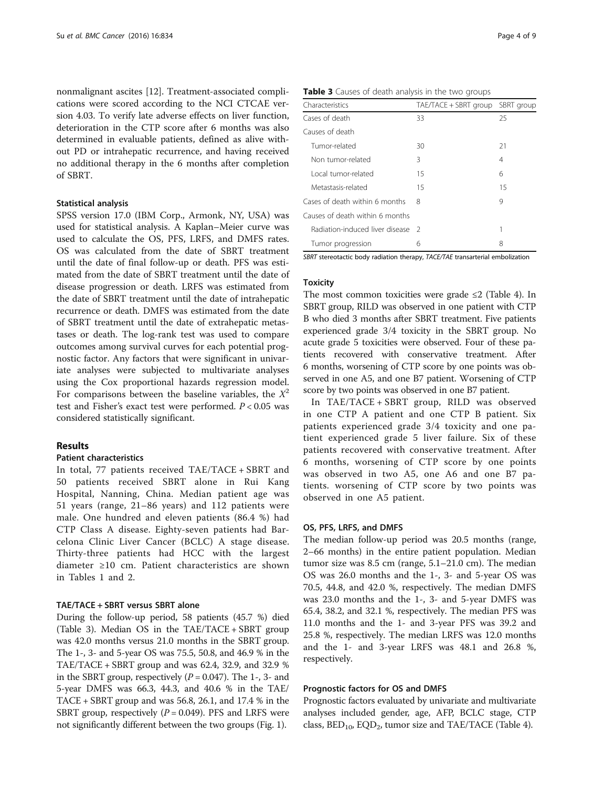nonmalignant ascites [\[12](#page-8-0)]. Treatment-associated complications were scored according to the NCI CTCAE version 4.03. To verify late adverse effects on liver function, deterioration in the CTP score after 6 months was also determined in evaluable patients, defined as alive without PD or intrahepatic recurrence, and having received no additional therapy in the 6 months after completion of SBRT.

#### Statistical analysis

SPSS version 17.0 (IBM Corp., Armonk, NY, USA) was used for statistical analysis. A Kaplan–Meier curve was used to calculate the OS, PFS, LRFS, and DMFS rates. OS was calculated from the date of SBRT treatment until the date of final follow-up or death. PFS was estimated from the date of SBRT treatment until the date of disease progression or death. LRFS was estimated from the date of SBRT treatment until the date of intrahepatic recurrence or death. DMFS was estimated from the date of SBRT treatment until the date of extrahepatic metastases or death. The log-rank test was used to compare outcomes among survival curves for each potential prognostic factor. Any factors that were significant in univariate analyses were subjected to multivariate analyses using the Cox proportional hazards regression model. For comparisons between the baseline variables, the  $X^2$ test and Fisher's exact test were performed.  $P < 0.05$  was considered statistically significant.

## Results

## Patient characteristics

In total, 77 patients received TAE/TACE + SBRT and 50 patients received SBRT alone in Rui Kang Hospital, Nanning, China. Median patient age was 51 years (range, 21–86 years) and 112 patients were male. One hundred and eleven patients (86.4 %) had CTP Class A disease. Eighty-seven patients had Barcelona Clinic Liver Cancer (BCLC) A stage disease. Thirty-three patients had HCC with the largest diameter ≥10 cm. Patient characteristics are shown in Tables [1](#page-1-0) and [2.](#page-2-0)

#### TAE/TACE + SBRT versus SBRT alone

During the follow-up period, 58 patients (45.7 %) died (Table 3). Median OS in the TAE/TACE + SBRT group was 42.0 months versus 21.0 months in the SBRT group. The 1-, 3- and 5-year OS was 75.5, 50.8, and 46.9 % in the TAE/TACE + SBRT group and was 62.4, 32.9, and 32.9 % in the SBRT group, respectively  $(P = 0.047)$ . The 1-, 3- and 5-year DMFS was 66.3, 44.3, and 40.6 % in the TAE/ TACE + SBRT group and was 56.8, 26.1, and 17.4 % in the SBRT group, respectively  $(P = 0.049)$ . PFS and LRFS were not significantly different between the two groups (Fig. [1\)](#page-4-0).

| Table 3 Causes of death analysis in the two groups |  |  |  |  |  |  |  |
|----------------------------------------------------|--|--|--|--|--|--|--|
|----------------------------------------------------|--|--|--|--|--|--|--|

| Characteristics                 | TAE/TACE + SBRT group | SBRT group |
|---------------------------------|-----------------------|------------|
| Cases of death                  | 33                    | 25         |
| Causes of death                 |                       |            |
| Tumor-related                   | 30                    | 21         |
| Non tumor-related               | 3                     | 4          |
| Local tumor-related             | 15                    | 6          |
| Metastasis-related              | 15                    | 15         |
| Cases of death within 6 months  | 8                     | 9          |
| Causes of death within 6 months |                       |            |
| Radiation-induced liver disease | - 2                   | 1          |
| Tumor progression               | 6                     | 8          |

SBRT stereotactic body radiation therapy, TACE/TAE transarterial embolization

## **Toxicity**

The most common toxicities were grade  $\leq 2$  (Table [4](#page-4-0)). In SBRT group, RILD was observed in one patient with CTP B who died 3 months after SBRT treatment. Five patients experienced grade 3/4 toxicity in the SBRT group. No acute grade 5 toxicities were observed. Four of these patients recovered with conservative treatment. After 6 months, worsening of CTP score by one points was observed in one A5, and one B7 patient. Worsening of CTP score by two points was observed in one B7 patient.

In TAE/TACE + SBRT group, RILD was observed in one CTP A patient and one CTP B patient. Six patients experienced grade 3/4 toxicity and one patient experienced grade 5 liver failure. Six of these patients recovered with conservative treatment. After 6 months, worsening of CTP score by one points was observed in two A5, one A6 and one B7 patients. worsening of CTP score by two points was observed in one A5 patient.

#### OS, PFS, LRFS, and DMFS

The median follow-up period was 20.5 months (range, 2–66 months) in the entire patient population. Median tumor size was 8.5 cm (range, 5.1–21.0 cm). The median OS was 26.0 months and the 1-, 3- and 5-year OS was 70.5, 44.8, and 42.0 %, respectively. The median DMFS was 23.0 months and the 1-, 3- and 5-year DMFS was 65.4, 38.2, and 32.1 %, respectively. The median PFS was 11.0 months and the 1- and 3-year PFS was 39.2 and 25.8 %, respectively. The median LRFS was 12.0 months and the 1- and 3-year LRFS was 48.1 and 26.8 %, respectively.

#### Prognostic factors for OS and DMFS

Prognostic factors evaluated by univariate and multivariate analyses included gender, age, AFP, BCLC stage, CTP class,  $BED_{10}$ ,  $EQD_2$ , tumor size and TAE/TACE (Table [4](#page-4-0)).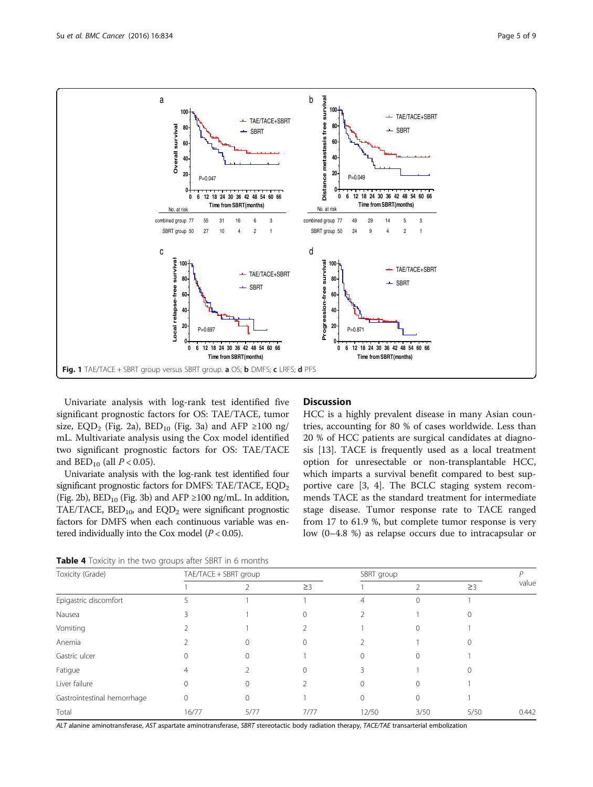<span id="page-4-0"></span>

Univariate analysis with log-rank test identified five significant prognostic factors for OS: TAE/TACE, tumor size, EQD<sub>2</sub> (Fig. [2a](#page-5-0)), BED<sub>10</sub> (Fig. [3a\)](#page-5-0) and AFP ≥100 ng/ mL. Multivariate analysis using the Cox model identified two significant prognostic factors for OS: TAE/TACE and  $BED_{10}$  (all  $P < 0.05$ ).

Univariate analysis with the log-rank test identified four significant prognostic factors for DMFS: TAE/TACE,  $EQD<sub>2</sub>$ (Fig. [2b\)](#page-5-0),  $BED_{10}$  (Fig. [3b\)](#page-5-0) and AFP ≥100 ng/mL. In addition, TAE/TACE,  $BED_{10}$ , and  $EQD_2$  were significant prognostic factors for DMFS when each continuous variable was entered individually into the Cox model ( $P < 0.05$ ).

## **Discussion**

HCC is a highly prevalent disease in many Asian countries, accounting for 80 % of cases worldwide. Less than 20 % of HCC patients are surgical candidates at diagnosis [[13\]](#page-8-0). TACE is frequently used as a local treatment option for unresectable or non-transplantable HCC, which imparts a survival benefit compared to best supportive care [[3, 4\]](#page-8-0). The BCLC staging system recommends TACE as the standard treatment for intermediate stage disease. Tumor response rate to TACE ranged from 17 to 61.9 %, but complete tumor response is very low (0–4.8 %) as relapse occurs due to intracapsular or

Table 4 Toxicity in the two groups after SBRT in 6 months

| Toxicity (Grade)            |       | TAE/TACE + SBRT group |          |        | SBRT group       |          |       |
|-----------------------------|-------|-----------------------|----------|--------|------------------|----------|-------|
|                             |       |                       | $\geq$ 3 |        | ∍                | $\geq$ 3 | value |
| Epigastric discomfort       |       |                       |          | 4      | $\left( \right)$ |          |       |
| Nausea                      | ζ     |                       |          |        |                  |          |       |
| Vomiting                    |       |                       |          |        |                  |          |       |
| Anemia                      |       |                       |          |        |                  |          |       |
| Gastric ulcer               | 0     | 0                     |          |        |                  |          |       |
| Fatigue                     | 4     |                       |          | 3      |                  |          |       |
| Liver failure               | 0     | ∩                     |          | $\cap$ |                  |          |       |
| Gastrointestinal hemorrhage | 0     | 0                     |          |        | 0                |          |       |
| Total                       | 16/77 | 5/77                  | 7/77     | 12/50  | 3/50             | 5/50     | 0.442 |

ALT alanine aminotransferase, AST aspartate aminotransferase, SBRT stereotactic body radiation therapy, TACE/TAE transarterial embolization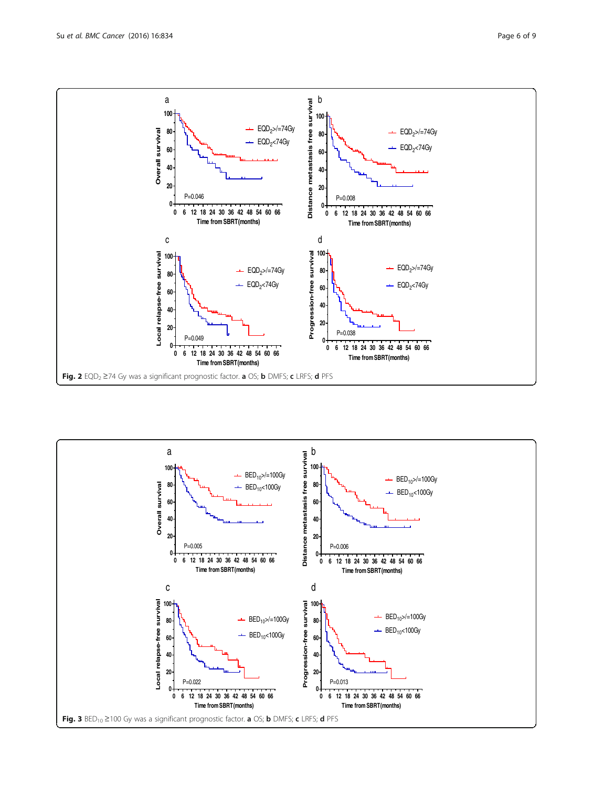<span id="page-5-0"></span>

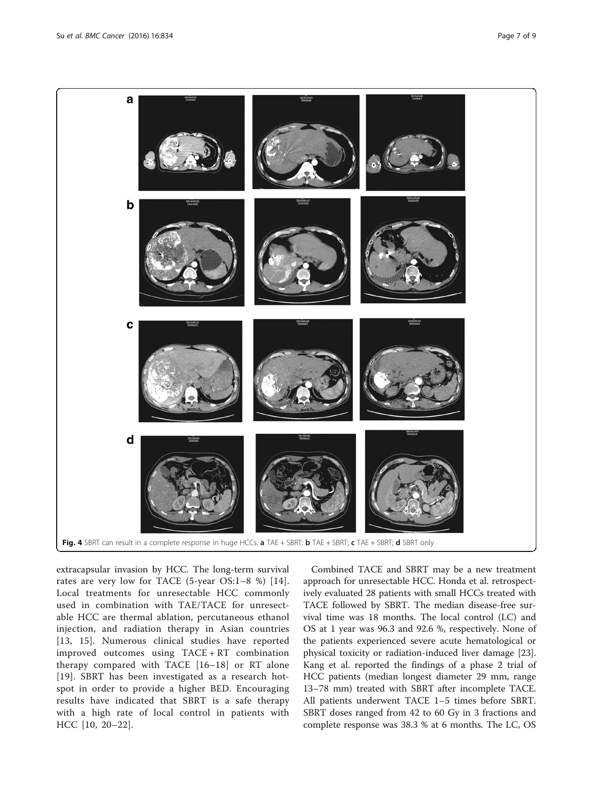<span id="page-6-0"></span>

extracapsular invasion by HCC. The long-term survival rates are very low for TACE (5-year OS:1–8 %) [[14](#page-8-0)]. Local treatments for unresectable HCC commonly used in combination with TAE/TACE for unresectable HCC are thermal ablation, percutaneous ethanol injection, and radiation therapy in Asian countries [[13](#page-8-0), [15\]](#page-8-0). Numerous clinical studies have reported improved outcomes using TACE + RT combination therapy compared with TACE [[16](#page-8-0)–[18\]](#page-8-0) or RT alone [[19](#page-8-0)]. SBRT has been investigated as a research hotspot in order to provide a higher BED. Encouraging results have indicated that SBRT is a safe therapy with a high rate of local control in patients with HCC [\[10, 20](#page-8-0)–[22](#page-8-0)].

Combined TACE and SBRT may be a new treatment approach for unresectable HCC. Honda et al. retrospectively evaluated 28 patients with small HCCs treated with TACE followed by SBRT. The median disease-free survival time was 18 months. The local control (LC) and OS at 1 year was 96.3 and 92.6 %, respectively. None of the patients experienced severe acute hematological or physical toxicity or radiation-induced liver damage [\[23](#page-8-0)]. Kang et al. reported the findings of a phase 2 trial of HCC patients (median longest diameter 29 mm, range 13–78 mm) treated with SBRT after incomplete TACE. All patients underwent TACE 1–5 times before SBRT. SBRT doses ranged from 42 to 60 Gy in 3 fractions and complete response was 38.3 % at 6 months. The LC, OS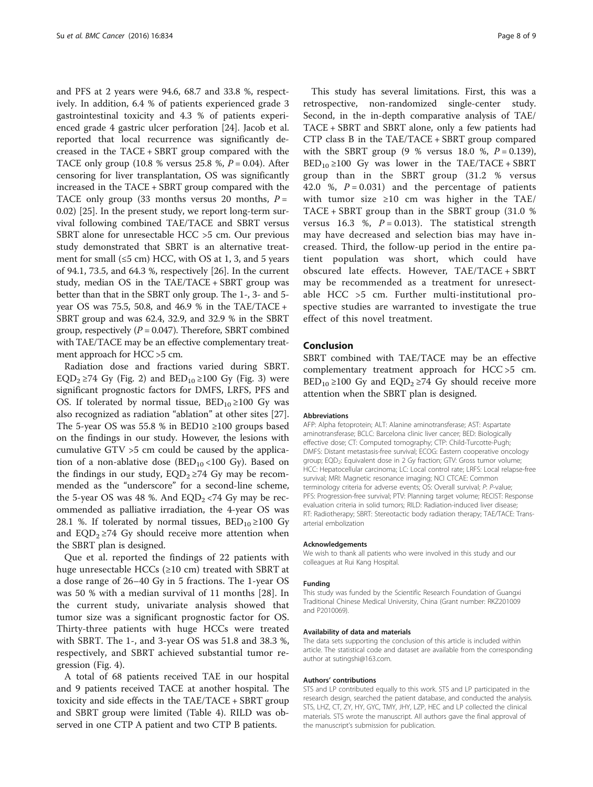and PFS at 2 years were 94.6, 68.7 and 33.8 %, respectively. In addition, 6.4 % of patients experienced grade 3 gastrointestinal toxicity and 4.3 % of patients experienced grade 4 gastric ulcer perforation [[24\]](#page-8-0). Jacob et al. reported that local recurrence was significantly decreased in the TACE + SBRT group compared with the TACE only group (10.8 % versus 25.8 %,  $P = 0.04$ ). After censoring for liver transplantation, OS was significantly increased in the TACE + SBRT group compared with the TACE only group (33 months versus 20 months,  $P =$ 0.02) [[25\]](#page-8-0). In the present study, we report long-term survival following combined TAE/TACE and SBRT versus SBRT alone for unresectable HCC >5 cm. Our previous study demonstrated that SBRT is an alternative treatment for small  $(\leq 5$  cm) HCC, with OS at 1, 3, and 5 years of 94.1, 73.5, and 64.3 %, respectively [[26\]](#page-8-0). In the current study, median OS in the TAE/TACE + SBRT group was better than that in the SBRT only group. The 1-, 3- and 5 year OS was 75.5, 50.8, and 46.9 % in the TAE/TACE + SBRT group and was 62.4, 32.9, and 32.9 % in the SBRT group, respectively  $(P = 0.047)$ . Therefore, SBRT combined with TAE/TACE may be an effective complementary treatment approach for HCC >5 cm.

Radiation dose and fractions varied during SBRT. EQD<sub>2</sub> ≥74 Gy (Fig. [2\)](#page-5-0) and BED<sub>10</sub> ≥100 Gy (Fig. [3](#page-5-0)) were significant prognostic factors for DMFS, LRFS, PFS and OS. If tolerated by normal tissue,  $BED_{10} \ge 100$  Gy was also recognized as radiation "ablation" at other sites [\[27](#page-8-0)]. The 5-year OS was 55.8 % in BED10  $\geq$ 100 groups based on the findings in our study. However, the lesions with cumulative GTV >5 cm could be caused by the application of a non-ablative dose  $(BED_{10}$  <100 Gy). Based on the findings in our study,  $EQD<sub>2</sub> \ge 74$  Gy may be recommended as the "underscore" for a second-line scheme, the 5-year OS was 48 %. And  $EQD<sub>2</sub> < 74$  Gy may be recommended as palliative irradiation, the 4-year OS was 28.1 %. If tolerated by normal tissues,  $BED_{10} \ge 100$  Gy and  $EQD<sub>2</sub> \ge 74$  Gy should receive more attention when the SBRT plan is designed.

Que et al. reported the findings of 22 patients with huge unresectable HCCs ( $\geq$ 10 cm) treated with SBRT at a dose range of 26–40 Gy in 5 fractions. The 1-year OS was 50 % with a median survival of 11 months [[28\]](#page-8-0). In the current study, univariate analysis showed that tumor size was a significant prognostic factor for OS. Thirty-three patients with huge HCCs were treated with SBRT. The 1-, and 3-year OS was 51.8 and 38.3 %, respectively, and SBRT achieved substantial tumor regression (Fig. [4\)](#page-6-0).

A total of 68 patients received TAE in our hospital and 9 patients received TACE at another hospital. The toxicity and side effects in the TAE/TACE + SBRT group and SBRT group were limited (Table [4\)](#page-4-0). RILD was observed in one CTP A patient and two CTP B patients.

This study has several limitations. First, this was a retrospective, non-randomized single-center study. Second, in the in-depth comparative analysis of TAE/ TACE + SBRT and SBRT alone, only a few patients had CTP class B in the TAE/TACE + SBRT group compared with the SBRT group  $(9 \% \text{ versus } 18.0 \% , P = 0.139)$ ,  $BED_{10} \geq 100$  Gy was lower in the TAE/TACE + SBRT group than in the SBRT group (31.2 % versus 42.0 %,  $P = 0.031$ ) and the percentage of patients with tumor size ≥10 cm was higher in the TAE/ TACE + SBRT group than in the SBRT group (31.0 % versus 16.3 %,  $P = 0.013$ ). The statistical strength may have decreased and selection bias may have increased. Third, the follow-up period in the entire patient population was short, which could have obscured late effects. However, TAE/TACE + SBRT may be recommended as a treatment for unresectable HCC >5 cm. Further multi-institutional prospective studies are warranted to investigate the true effect of this novel treatment.

## Conclusion

SBRT combined with TAE/TACE may be an effective complementary treatment approach for HCC >5 cm.  $BED_{10} \geq 100$  Gy and  $EQD_2 \geq 74$  Gy should receive more attention when the SBRT plan is designed.

#### Abbreviations

AFP: Alpha fetoprotein; ALT: Alanine aminotransferase; AST: Aspartate aminotransferase; BCLC: Barcelona clinic liver cancer; BED: Biologically effective dose; CT: Computed tomography; CTP: Child-Turcotte-Pugh; DMFS: Distant metastasis-free survival; ECOG: Eastern cooperative oncology group; EQD<sub>2</sub>: Equivalent dose in 2 Gy fraction; GTV: Gross tumor volume; HCC: Hepatocellular carcinoma; LC: Local control rate; LRFS: Local relapse-free survival; MRI: Magnetic resonance imaging; NCI CTCAE: Common terminology criteria for adverse events; OS: Overall survival; P: P-value; PFS: Progression-free survival; PTV: Planning target volume; RECIST: Response evaluation criteria in solid tumors; RILD: Radiation-induced liver disease; RT: Radiotherapy; SBRT: Stereotactic body radiation therapy; TAE/TACE: Transarterial embolization

#### Acknowledgements

We wish to thank all patients who were involved in this study and our colleagues at Rui Kang Hospital.

#### Funding

This study was funded by the Scientific Research Foundation of Guangxi Traditional Chinese Medical University, China (Grant number: RKZ201009 and P2010069).

#### Availability of data and materials

The data sets supporting the conclusion of this article is included within article. The statistical code and dataset are available from the corresponding author at sutingshi@163.com.

#### Authors' contributions

STS and LP contributed equally to this work. STS and LP participated in the research design, searched the patient database, and conducted the analysis. STS, LHZ, CT, ZY, HY, GYC, TMY, JHY, LZP, HEC and LP collected the clinical materials. STS wrote the manuscript. All authors gave the final approval of the manuscript's submission for publication.